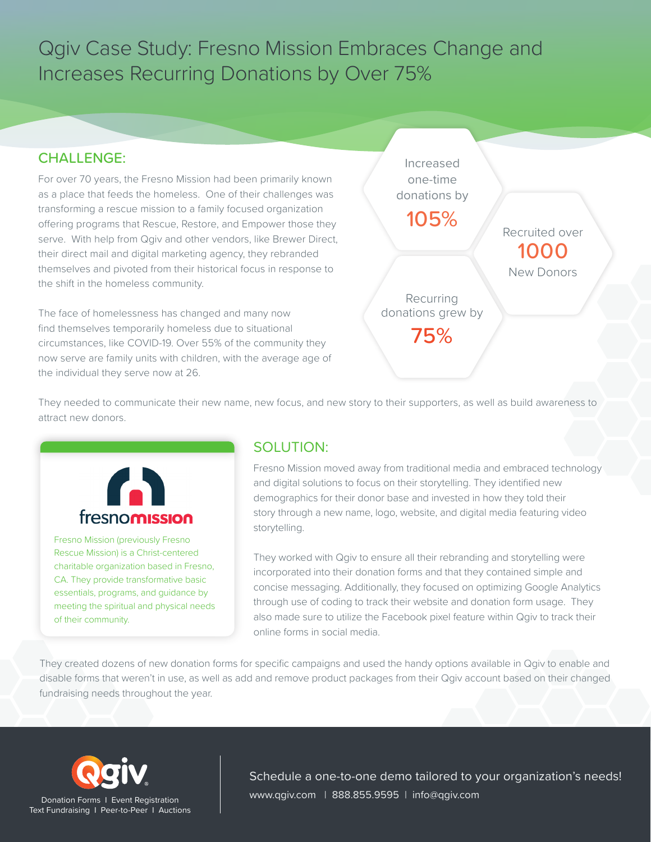Qgiv Case Study: Fresno Mission Embraces Change and Increases Recurring Donations by Over 75%

## CHALLENGE:

For over 70 years, the Fresno Mission had been primarily known as a place that feeds the homeless. One of their challenges was transforming a rescue mission to a family focused organization offering programs that Rescue, Restore, and Empower those they serve. With help from Qgiv and other vendors, like Brewer Direct, their direct mail and digital marketing agency, they rebranded themselves and pivoted from their historical focus in response to the shift in the homeless community.

The face of homelessness has changed and many now find themselves temporarily homeless due to situational circumstances, like COVID-19. Over 55% of the community they now serve are family units with children, with the average age of the individual they serve now at 26.



They needed to communicate their new name, new focus, and new story to their supporters, as well as build awareness to attract new donors.



Fresno Mission (previously Fresno Rescue Mission) is a Christ-centered charitable organization based in Fresno, CA. They provide transformative basic essentials, programs, and guidance by meeting the spiritual and physical needs of their community.

# SOLUTION:

Fresno Mission moved away from traditional media and embraced technology and digital solutions to focus on their storytelling. They identified new demographics for their donor base and invested in how they told their story through a new name, logo, website, and digital media featuring video storytelling.

They worked with Qgiv to ensure all their rebranding and storytelling were incorporated into their donation forms and that they contained simple and concise messaging. Additionally, they focused on optimizing Google Analytics through use of coding to track their website and donation form usage. They also made sure to utilize the Facebook pixel feature within Qgiv to track their online forms in social media.

They created dozens of new donation forms for specific campaigns and used the handy options available in Qgiv to enable and disable forms that weren't in use, as well as add and remove product packages from their Qgiv account based on their changed fundraising needs throughout the year.



Schedule a one-to-one demo tailored to your organization's needs! Donation Forms I Event Registration | Www.qgiv.com | 888.855.9595 | info@qgiv.com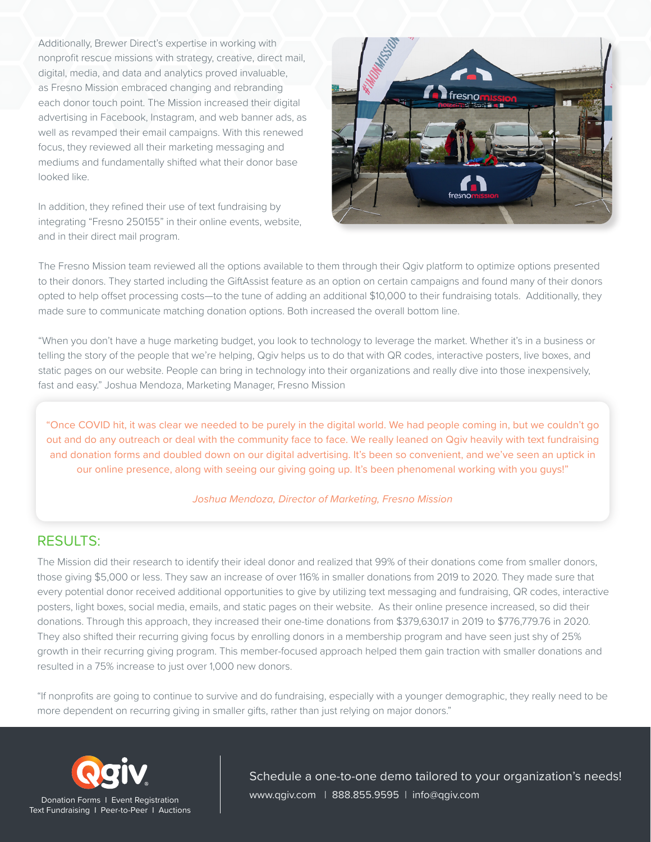Additionally, Brewer Direct's expertise in working with nonprofit rescue missions with strategy, creative, direct mail, digital, media, and data and analytics proved invaluable, as Fresno Mission embraced changing and rebranding each donor touch point. The Mission increased their digital advertising in Facebook, Instagram, and web banner ads, as well as revamped their email campaigns. With this renewed focus, they reviewed all their marketing messaging and mediums and fundamentally shifted what their donor base looked like.

In addition, they refined their use of text fundraising by integrating "Fresno 250155" in their online events, website, and in their direct mail program.



The Fresno Mission team reviewed all the options available to them through their Qgiv platform to optimize options presented to their donors. They started including the GiftAssist feature as an option on certain campaigns and found many of their donors opted to help offset processing costs—to the tune of adding an additional \$10,000 to their fundraising totals. Additionally, they made sure to communicate matching donation options. Both increased the overall bottom line.

"When you don't have a huge marketing budget, you look to technology to leverage the market. Whether it's in a business or telling the story of the people that we're helping, Qgiv helps us to do that with QR codes, interactive posters, live boxes, and static pages on our website. People can bring in technology into their organizations and really dive into those inexpensively, fast and easy." Joshua Mendoza, Marketing Manager, Fresno Mission

"Once COVID hit, it was clear we needed to be purely in the digital world. We had people coming in, but we couldn't go out and do any outreach or deal with the community face to face. We really leaned on Qgiv heavily with text fundraising and donation forms and doubled down on our digital advertising. It's been so convenient, and we've seen an uptick in our online presence, along with seeing our giving going up. It's been phenomenal working with you guys!"

#### *Joshua Mendoza, Director of Marketing, Fresno Mission*

### RESULTS:

The Mission did their research to identify their ideal donor and realized that 99% of their donations come from smaller donors, those giving \$5,000 or less. They saw an increase of over 116% in smaller donations from 2019 to 2020. They made sure that every potential donor received additional opportunities to give by utilizing text messaging and fundraising, QR codes, interactive posters, light boxes, social media, emails, and static pages on their website. As their online presence increased, so did their donations. Through this approach, they increased their one-time donations from \$379,630.17 in 2019 to \$776,779.76 in 2020. They also shifted their recurring giving focus by enrolling donors in a membership program and have seen just shy of 25% growth in their recurring giving program. This member-focused approach helped them gain traction with smaller donations and resulted in a 75% increase to just over 1,000 new donors.

"If nonprofits are going to continue to survive and do fundraising, especially with a younger demographic, they really need to be more dependent on recurring giving in smaller gifts, rather than just relying on major donors."



Schedule a one-to-one demo tailored to your organization's needs! Donation Forms I Event Registration | www.qgiv.com | 888.855.9595 | info@qgiv.com